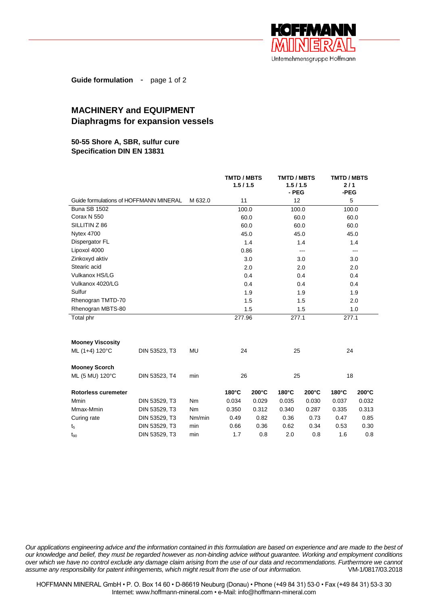

**Guide formulation** - page 1 of 2

# **MACHINERY and EQUIPMENT Diaphragms for expansion vessels**

## **50-55 Shore A, SBR, sulfur cure Specification DIN EN 13831**

|                                        |               |           | <b>TMTD / MBTS</b><br>1.5/1.5 |                 | <b>TMTD / MBTS</b><br>1.5/1.5<br>- PEG |                 | <b>TMTD / MBTS</b><br>2/1<br>-PEG |       |
|----------------------------------------|---------------|-----------|-------------------------------|-----------------|----------------------------------------|-----------------|-----------------------------------|-------|
| Guide formulations of HOFFMANN MINERAL |               | M 632.0   | 11                            |                 | 12                                     |                 | 5                                 |       |
| <b>Buna SB 1502</b>                    |               |           | 100.0                         |                 | 100.0                                  |                 | 100.0                             |       |
| Corax N 550                            |               |           | 60.0                          |                 | 60.0                                   |                 | 60.0                              |       |
| SILLITIN Z 86                          |               |           |                               | 60.0            | 60.0                                   |                 | 60.0                              |       |
| <b>Nytex 4700</b>                      |               |           | 45.0                          |                 | 45.0                                   |                 | 45.0                              |       |
| Dispergator FL                         |               |           | 1.4                           |                 | 1.4                                    |                 | 1.4                               |       |
| Lipoxol 4000                           |               |           | 0.86                          |                 | ---                                    |                 | $-$                               |       |
| Zinkoxyd aktiv                         |               |           | 3.0                           |                 | 3.0                                    |                 | 3.0                               |       |
| Stearic acid                           |               |           | 2.0                           |                 | 2.0                                    |                 | 2.0                               |       |
| Vulkanox HS/LG                         |               |           | 0.4<br>0.4                    |                 |                                        | 0.4             |                                   |       |
| Vulkanox 4020/LG                       |               |           | 0.4                           |                 | 0.4                                    |                 | 0.4                               |       |
| Sulfur                                 |               |           | 1.9                           |                 | 1.9                                    | 1.9             |                                   |       |
| Rhenogran TMTD-70                      |               |           | 1.5                           |                 | 1.5                                    |                 | 2.0                               |       |
| Rhenogran MBTS-80                      |               |           |                               | 1.5             | 1.5                                    |                 | 1.0                               |       |
| Total phr                              |               |           | 277.96                        |                 | 277.1                                  |                 | 277.1                             |       |
|                                        |               |           |                               |                 |                                        |                 |                                   |       |
| <b>Mooney Viscosity</b>                |               |           |                               |                 |                                        |                 |                                   |       |
| ML (1+4) 120°C                         | DIN 53523, T3 | <b>MU</b> | 24                            |                 | 25                                     |                 | 24                                |       |
| <b>Mooney Scorch</b>                   |               |           |                               |                 |                                        |                 |                                   |       |
| ML (5 MU) 120°C                        | DIN 53523, T4 | min       | 26                            |                 | 25                                     |                 | 18                                |       |
| Rotorless curemeter                    |               |           | 180°C                         | $200^{\circ}$ C | 180°C                                  | $200^{\circ}$ C | 180°C                             | 200°C |
| Mmin                                   | DIN 53529, T3 | Nm        | 0.034                         | 0.029           | 0.035                                  | 0.030           | 0.037                             | 0.032 |
| Mmax-Mmin                              | DIN 53529, T3 | Nm        | 0.350                         | 0.312           | 0.340                                  | 0.287           | 0.335                             | 0.313 |
| Curing rate                            | DIN 53529, T3 | Nm/min    | 0.49                          | 0.82            | 0.36                                   | 0.73            | 0.47                              | 0.85  |
| t <sub>5</sub>                         | DIN 53529, T3 | min       | 0.66                          | 0.36            | 0.62                                   | 0.34            | 0.53                              | 0.30  |
| $t_{90}$                               | DIN 53529, T3 | min       | 1.7                           | 0.8             | 2.0                                    | 0.8             | 1.6                               | 0.8   |

*Our applications engineering advice and the information contained in this formulation are based on experience and are made to the best of our knowledge and belief, they must be regarded however as non-binding advice without guarantee. Working and employment conditions over which we have no control exclude any damage claim arising from the use of our data and recommendations. Furthermore we cannot assume any responsibility for patent infringements, which might result from the use of our information.* VM-1/0817/03.2018